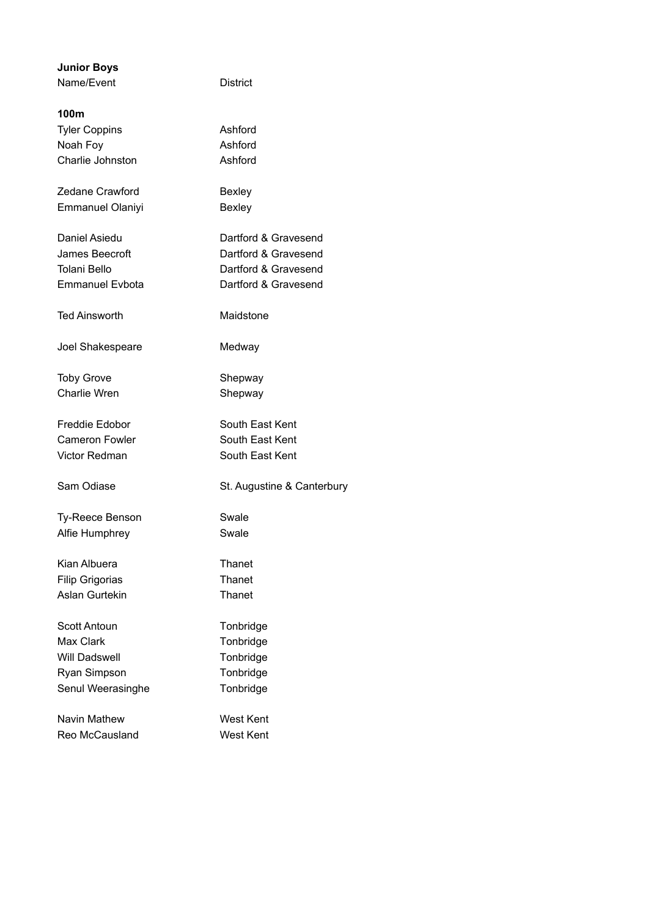| <b>Junior Boys</b><br>Name/Event | <b>District</b>            |
|----------------------------------|----------------------------|
|                                  |                            |
| 100m                             |                            |
| <b>Tyler Coppins</b>             | Ashford                    |
| Noah Foy                         | Ashford                    |
| Charlie Johnston                 | Ashford                    |
| Zedane Crawford                  | <b>Bexley</b>              |
| <b>Emmanuel Olaniyi</b>          | <b>Bexley</b>              |
| Daniel Asiedu                    | Dartford & Gravesend       |
| James Beecroft                   | Dartford & Gravesend       |
| Tolani Bello                     | Dartford & Gravesend       |
| <b>Emmanuel Evbota</b>           | Dartford & Gravesend       |
| Ted Ainsworth                    | Maidstone                  |
| Joel Shakespeare                 | Medway                     |
| <b>Toby Grove</b>                | Shepway                    |
| Charlie Wren                     | Shepway                    |
| Freddie Edobor                   | South East Kent            |
| Cameron Fowler                   | South East Kent            |
| Victor Redman                    | South East Kent            |
| Sam Odiase                       | St. Augustine & Canterbury |
| Ty-Reece Benson                  | Swale                      |
| Alfie Humphrey                   | Swale                      |
| Kian Albuera                     | Thanet                     |
| <b>Filip Grigorias</b>           | Thanet                     |
| Aslan Gurtekin                   | Thanet                     |
| Scott Antoun                     | Tonbridge                  |
| Max Clark                        | Tonbridge                  |
| Will Dadswell                    | Tonbridge                  |
| Ryan Simpson                     | Tonbridge                  |
| Senul Weerasinghe                | Tonbridge                  |
| Navin Mathew                     | West Kent                  |
| Reo McCausland                   | <b>West Kent</b>           |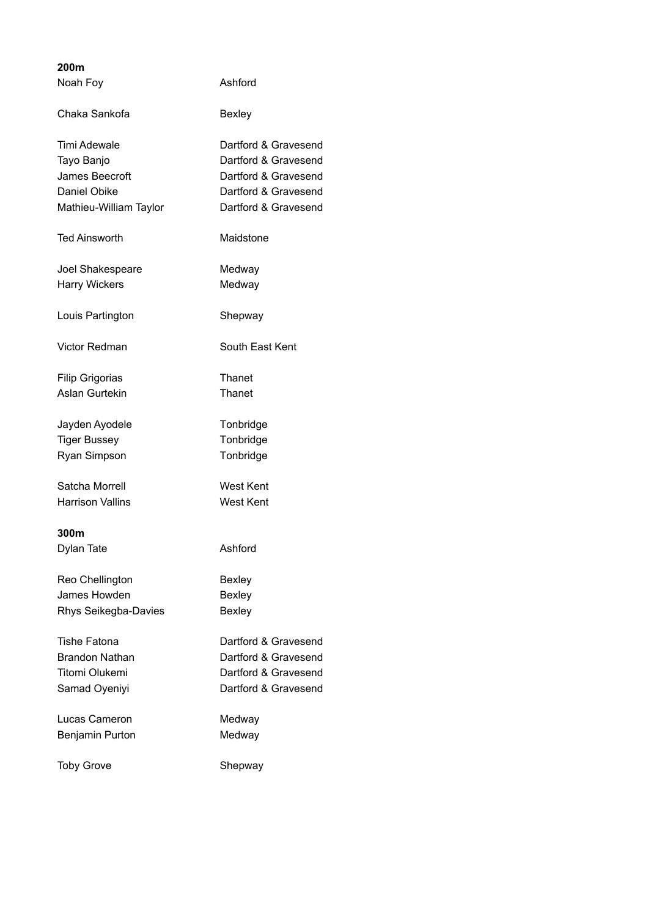| 200m                    |                      |
|-------------------------|----------------------|
| Noah Foy                | Ashford              |
| Chaka Sankofa           | Bexley               |
| Timi Adewale            | Dartford & Gravesend |
| Tayo Banjo              | Dartford & Gravesend |
| James Beecroft          | Dartford & Gravesend |
| Daniel Obike            | Dartford & Gravesend |
| Mathieu-William Taylor  | Dartford & Gravesend |
| <b>Ted Ainsworth</b>    | Maidstone            |
| Joel Shakespeare        | Medway               |
| <b>Harry Wickers</b>    | Medway               |
| Louis Partington        | Shepway              |
| <b>Victor Redman</b>    | South East Kent      |
| <b>Filip Grigorias</b>  | Thanet               |
| Aslan Gurtekin          | Thanet               |
| Jayden Ayodele          | Tonbridge            |
| <b>Tiger Bussey</b>     | Tonbridge            |
| Ryan Simpson            | Tonbridge            |
| Satcha Morrell          | <b>West Kent</b>     |
| <b>Harrison Vallins</b> | West Kent            |
| 300m                    |                      |
| Dylan Tate              | Ashford              |
| Reo Chellington         | <b>Bexley</b>        |
| James Howden            | <b>Bexley</b>        |
| Rhys Seikegba-Davies    | Bexley               |
| <b>Tishe Fatona</b>     | Dartford & Gravesend |
| <b>Brandon Nathan</b>   | Dartford & Gravesend |
| <b>Titomi Olukemi</b>   | Dartford & Gravesend |
| Samad Oyeniyi           | Dartford & Gravesend |
| Lucas Cameron           | Medway               |
| Benjamin Purton         | Medway               |
| <b>Toby Grove</b>       | Shepway              |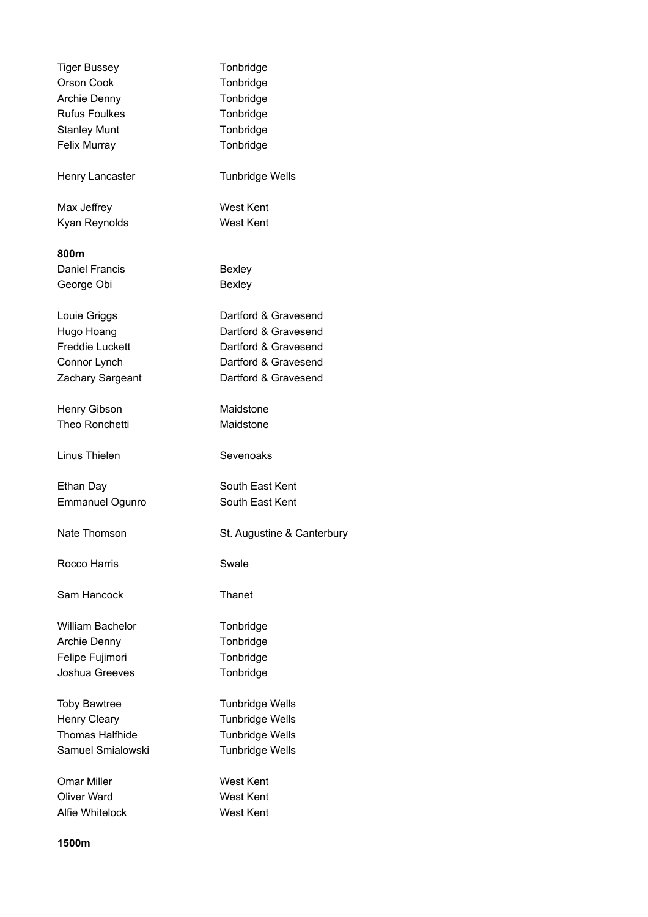| <b>Tiger Bussey</b>    | Tonbridge                  |
|------------------------|----------------------------|
| Orson Cook             | Tonbridge                  |
| <b>Archie Denny</b>    | Tonbridge                  |
| <b>Rufus Foulkes</b>   | Tonbridge                  |
| <b>Stanley Munt</b>    | Tonbridge                  |
| Felix Murray           | Tonbridge                  |
| Henry Lancaster        | <b>Tunbridge Wells</b>     |
| Max Jeffrey            | <b>West Kent</b>           |
| Kyan Reynolds          | <b>West Kent</b>           |
| 800m                   |                            |
| <b>Daniel Francis</b>  | <b>Bexley</b>              |
| George Obi             | <b>Bexley</b>              |
| Louie Griggs           | Dartford & Gravesend       |
| Hugo Hoang             | Dartford & Gravesend       |
| <b>Freddie Luckett</b> | Dartford & Gravesend       |
| Connor Lynch           | Dartford & Gravesend       |
| Zachary Sargeant       | Dartford & Gravesend       |
| Henry Gibson           | Maidstone                  |
| Theo Ronchetti         | Maidstone                  |
| Linus Thielen          | Sevenoaks                  |
| Ethan Day              | South East Kent            |
| <b>Emmanuel Ogunro</b> | South East Kent            |
| Nate Thomson           | St. Augustine & Canterbury |
| Rocco Harris           | Swale                      |
| Sam Hancock            | Thanet                     |
| William Bachelor       | Tonbridge                  |
| Archie Denny           | Tonbridge                  |
| Felipe Fujimori        | Tonbridge                  |
| Joshua Greeves         | Tonbridge                  |
| <b>Toby Bawtree</b>    | <b>Tunbridge Wells</b>     |
| Henry Cleary           | <b>Tunbridge Wells</b>     |
| <b>Thomas Halfhide</b> | <b>Tunbridge Wells</b>     |
| Samuel Smialowski      | <b>Tunbridge Wells</b>     |
| Omar Miller            | West Kent                  |
| Oliver Ward            | West Kent                  |
| Alfie Whitelock        | <b>West Kent</b>           |
|                        |                            |

**1500m**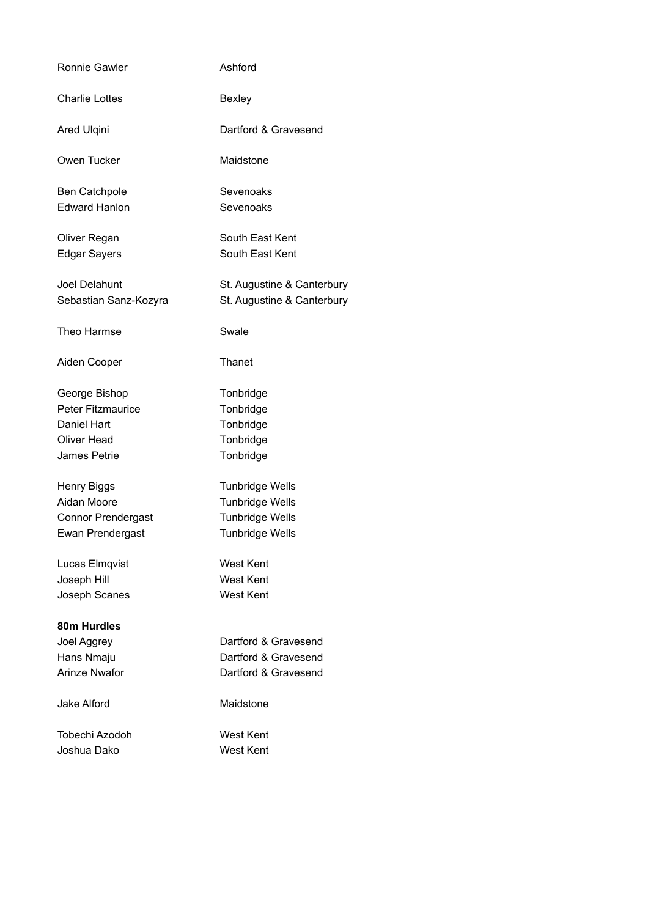| Ronnie Gawler            | Ashford                    |
|--------------------------|----------------------------|
| <b>Charlie Lottes</b>    | <b>Bexley</b>              |
| Ared Ulqini              | Dartford & Gravesend       |
| Owen Tucker              | Maidstone                  |
| Ben Catchpole            | Sevenoaks                  |
| <b>Edward Hanlon</b>     | Sevenoaks                  |
| Oliver Regan             | South East Kent            |
| <b>Edgar Sayers</b>      | South East Kent            |
| Joel Delahunt            | St. Augustine & Canterbury |
| Sebastian Sanz-Kozyra    | St. Augustine & Canterbury |
| Theo Harmse              | Swale                      |
| Aiden Cooper             | Thanet                     |
| George Bishop            | Tonbridge                  |
| <b>Peter Fitzmaurice</b> | Tonbridge                  |
| Daniel Hart              | Tonbridge                  |
| <b>Oliver Head</b>       | Tonbridge                  |
| James Petrie             | Tonbridge                  |
| <b>Henry Biggs</b>       | <b>Tunbridge Wells</b>     |
| Aidan Moore              | <b>Tunbridge Wells</b>     |
| Connor Prendergast       | <b>Tunbridge Wells</b>     |
| Ewan Prendergast         | <b>Tunbridge Wells</b>     |
| Lucas Elmqvist           | <b>West Kent</b>           |
| Joseph Hill              | <b>West Kent</b>           |
| Joseph Scanes            | <b>West Kent</b>           |
| 80m Hurdles              |                            |
| Joel Aggrey              | Dartford & Gravesend       |
| Hans Nmaju               | Dartford & Gravesend       |
| <b>Arinze Nwafor</b>     | Dartford & Gravesend       |
| Jake Alford              | Maidstone                  |
| Tobechi Azodoh           | West Kent                  |
| Joshua Dako              | West Kent                  |
|                          |                            |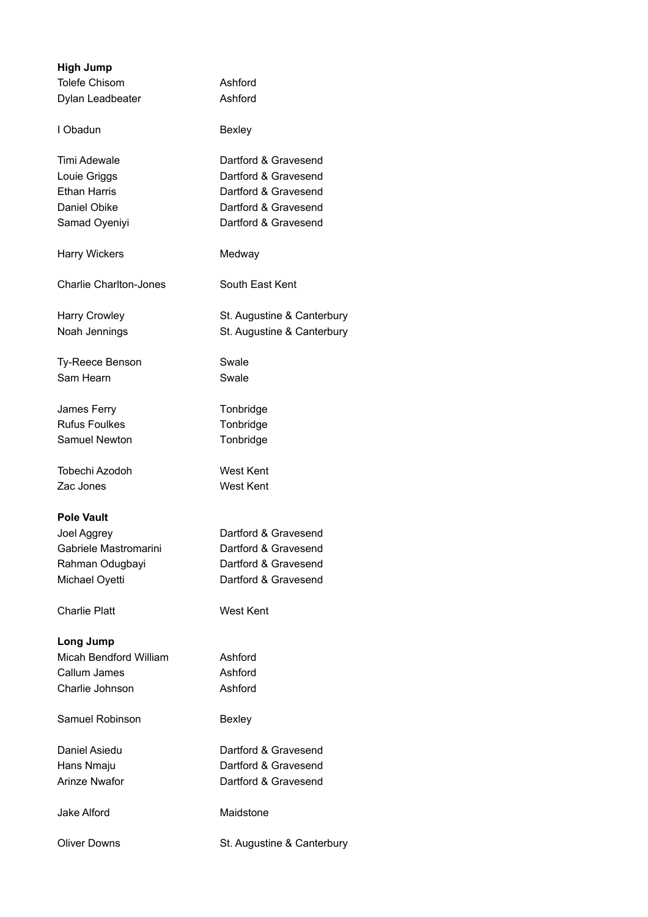| <b>High Jump</b>              |                            |
|-------------------------------|----------------------------|
| <b>Tolefe Chisom</b>          | Ashford                    |
| Dylan Leadbeater              | Ashford                    |
| I Obadun                      | <b>Bexley</b>              |
| Timi Adewale                  | Dartford & Gravesend       |
| Louie Griggs                  | Dartford & Gravesend       |
| <b>Ethan Harris</b>           | Dartford & Gravesend       |
| Daniel Obike                  | Dartford & Gravesend       |
| Samad Oyeniyi                 | Dartford & Gravesend       |
| <b>Harry Wickers</b>          | Medway                     |
| <b>Charlie Charlton-Jones</b> | South East Kent            |
| <b>Harry Crowley</b>          | St. Augustine & Canterbury |
| Noah Jennings                 | St. Augustine & Canterbury |
| Ty-Reece Benson               | Swale                      |
| Sam Hearn                     | Swale                      |
| James Ferry                   | Tonbridge                  |
| <b>Rufus Foulkes</b>          | Tonbridge                  |
| Samuel Newton                 | Tonbridge                  |
| Tobechi Azodoh                | <b>West Kent</b>           |
| Zac Jones                     | <b>West Kent</b>           |
| <b>Pole Vault</b>             |                            |
| Joel Aggrey                   | Dartford & Gravesend       |
| Gabriele Mastromarini         | Dartford & Gravesend       |
| Rahman Odugbayi               | Dartford & Gravesend       |
| Michael Oyetti                | Dartford & Gravesend       |
| <b>Charlie Platt</b>          | <b>West Kent</b>           |
| Long Jump                     |                            |
| <b>Micah Bendford William</b> | Ashford                    |
| Callum James                  | Ashford                    |
| Charlie Johnson               | Ashford                    |
| Samuel Robinson               | <b>Bexley</b>              |
| Daniel Asiedu                 | Dartford & Gravesend       |
| Hans Nmaju                    | Dartford & Gravesend       |
| <b>Arinze Nwafor</b>          | Dartford & Gravesend       |
| Jake Alford                   | Maidstone                  |
| <b>Oliver Downs</b>           | St. Augustine & Canterbury |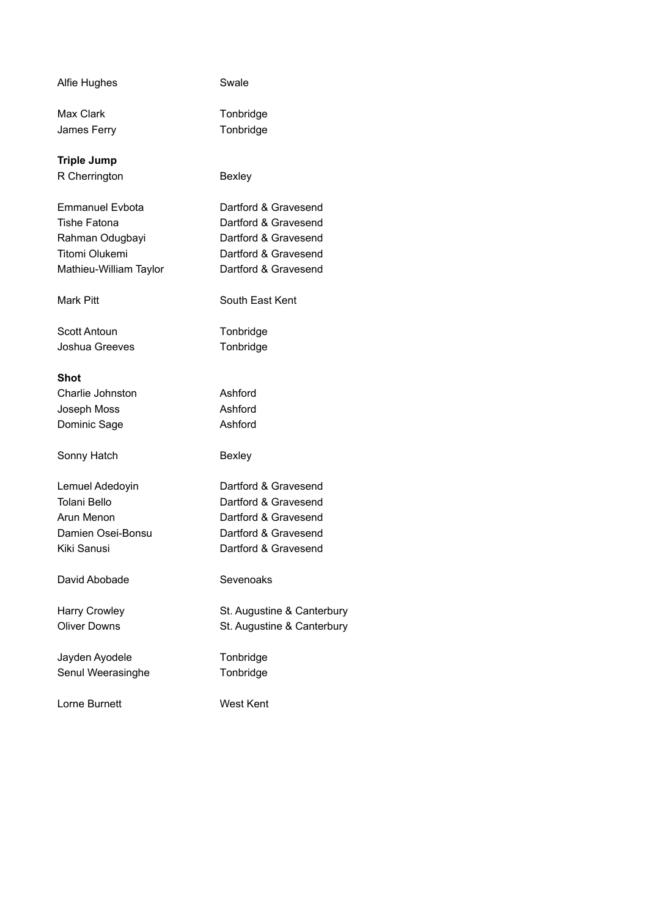| Alfie Hughes           | Swale                      |
|------------------------|----------------------------|
| Max Clark              | Tonbridge                  |
| James Ferry            | Tonbridge                  |
| <b>Triple Jump</b>     |                            |
| R Cherrington          | <b>Bexley</b>              |
| Emmanuel Evbota        | Dartford & Gravesend       |
| <b>Tishe Fatona</b>    | Dartford & Gravesend       |
| Rahman Odugbayi        | Dartford & Gravesend       |
| <b>Titomi Olukemi</b>  | Dartford & Gravesend       |
| Mathieu-William Taylor | Dartford & Gravesend       |
| Mark Pitt              | South East Kent            |
| Scott Antoun           | Tonbridge                  |
| Joshua Greeves         | Tonbridge                  |
| Shot                   |                            |
| Charlie Johnston       | Ashford                    |
| Joseph Moss            | Ashford                    |
| Dominic Sage           | Ashford                    |
| Sonny Hatch            | <b>Bexley</b>              |
| Lemuel Adedoyin        | Dartford & Gravesend       |
| <b>Tolani Bello</b>    | Dartford & Gravesend       |
| Arun Menon             | Dartford & Gravesend       |
| Damien Osei-Bonsu      | Dartford & Gravesend       |
| Kiki Sanusi            | Dartford & Gravesend       |
| David Abobade          | Sevenoaks                  |
| <b>Harry Crowley</b>   | St. Augustine & Canterbury |
| <b>Oliver Downs</b>    | St. Augustine & Canterbury |
| Jayden Ayodele         | Tonbridge                  |
| Senul Weerasinghe      | Tonbridge                  |
| Lorne Burnett          | West Kent                  |